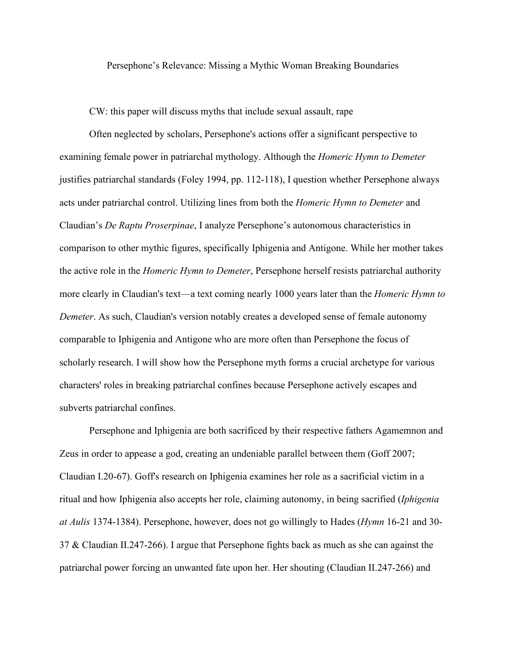Persephone's Relevance: Missing a Mythic Woman Breaking Boundaries

CW: this paper will discuss myths that include sexual assault, rape

Often neglected by scholars, Persephone's actions offer a significant perspective to examining female power in patriarchal mythology. Although the *Homeric Hymn to Demeter* justifies patriarchal standards (Foley 1994, pp. 112-118), I question whether Persephone always acts under patriarchal control. Utilizing lines from both the *Homeric Hymn to Demeter* and Claudian's *De Raptu Proserpinae*, I analyze Persephone's autonomous characteristics in comparison to other mythic figures, specifically Iphigenia and Antigone. While her mother takes the active role in the *Homeric Hymn to Demeter*, Persephone herself resists patriarchal authority more clearly in Claudian's text—a text coming nearly 1000 years later than the *Homeric Hymn to Demeter*. As such, Claudian's version notably creates a developed sense of female autonomy comparable to Iphigenia and Antigone who are more often than Persephone the focus of scholarly research. I will show how the Persephone myth forms a crucial archetype for various characters' roles in breaking patriarchal confines because Persephone actively escapes and subverts patriarchal confines.

Persephone and Iphigenia are both sacrificed by their respective fathers Agamemnon and Zeus in order to appease a god, creating an undeniable parallel between them (Goff 2007; Claudian I.20-67). Goff's research on Iphigenia examines her role as a sacrificial victim in a ritual and how Iphigenia also accepts her role, claiming autonomy, in being sacrified (*Iphigenia at Aulis* 1374-1384). Persephone, however, does not go willingly to Hades (*Hymn* 16-21 and 30- 37 & Claudian II.247-266). I argue that Persephone fights back as much as she can against the patriarchal power forcing an unwanted fate upon her. Her shouting (Claudian II.247-266) and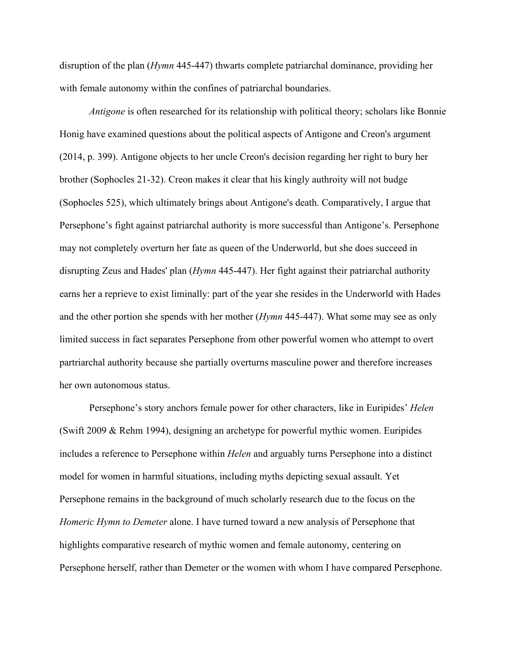disruption of the plan (*Hymn* 445-447) thwarts complete patriarchal dominance, providing her with female autonomy within the confines of patriarchal boundaries.

*Antigone* is often researched for its relationship with political theory; scholars like Bonnie Honig have examined questions about the political aspects of Antigone and Creon's argument (2014, p. 399). Antigone objects to her uncle Creon's decision regarding her right to bury her brother (Sophocles 21-32). Creon makes it clear that his kingly authroity will not budge (Sophocles 525), which ultimately brings about Antigone's death. Comparatively, I argue that Persephone's fight against patriarchal authority is more successful than Antigone's. Persephone may not completely overturn her fate as queen of the Underworld, but she does succeed in disrupting Zeus and Hades' plan (*Hymn* 445-447). Her fight against their patriarchal authority earns her a reprieve to exist liminally: part of the year she resides in the Underworld with Hades and the other portion she spends with her mother (*Hymn* 445-447). What some may see as only limited success in fact separates Persephone from other powerful women who attempt to overt partriarchal authority because she partially overturns masculine power and therefore increases her own autonomous status.

Persephone's story anchors female power for other characters, like in Euripides' *Helen* (Swift 2009 & Rehm 1994), designing an archetype for powerful mythic women. Euripides includes a reference to Persephone within *Helen* and arguably turns Persephone into a distinct model for women in harmful situations, including myths depicting sexual assault. Yet Persephone remains in the background of much scholarly research due to the focus on the *Homeric Hymn to Demeter* alone. I have turned toward a new analysis of Persephone that highlights comparative research of mythic women and female autonomy, centering on Persephone herself, rather than Demeter or the women with whom I have compared Persephone.